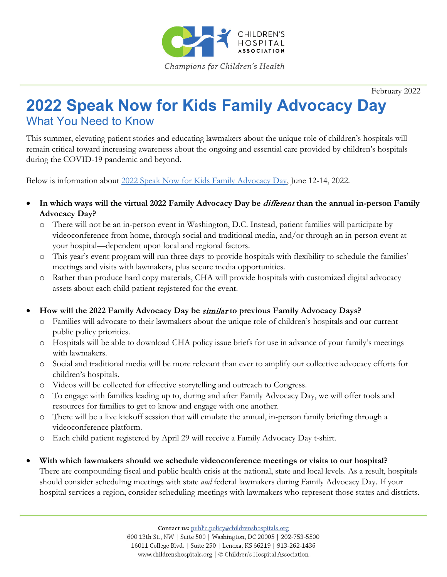

February 2022

# **2022 Speak Now for Kids Family Advocacy Day** What You Need to Know

This summer, elevating patient stories and educating lawmakers about the unique role of children's hospitals will remain critical toward increasing awareness about the ongoing and essential care provided by children's hospitals during the COVID-19 pandemic and beyond.

Below is information about 2022 [Speak Now for Kids Family Advocacy Day,](https://www.childrenshospitals.org/Events/2022/06/12/2022-Speak-Now-for-Kids-Family-Advocacy-Day) June 12-14, 2022.

- **In which ways will the virtual 2022 Family Advocacy Day be** different **than the annual in-person Family Advocacy Day?**
	- o There will not be an in-person event in Washington, D.C. Instead, patient families will participate by videoconference from home, through social and traditional media, and/or through an in-person event at your hospital—dependent upon local and regional factors.
	- o This year's event program will run three days to provide hospitals with flexibility to schedule the families' meetings and visits with lawmakers, plus secure media opportunities.
	- o Rather than produce hard copy materials, CHA will provide hospitals with customized digital advocacy assets about each child patient registered for the event.

### • **How will the 2022 Family Advocacy Day be** similar **to previous Family Advocacy Days?**

- o Families will advocate to their lawmakers about the unique role of children's hospitals and our current public policy priorities.
- o Hospitals will be able to download CHA policy issue briefs for use in advance of your family's meetings with lawmakers.
- o Social and traditional media will be more relevant than ever to amplify our collective advocacy efforts for children's hospitals.
- o Videos will be collected for effective storytelling and outreach to Congress.
- o To engage with families leading up to, during and after Family Advocacy Day, we will offer tools and resources for families to get to know and engage with one another.
- o There will be a live kickoff session that will emulate the annual, in-person family briefing through a videoconference platform.
- o Each child patient registered by April 29 will receive a Family Advocacy Day t-shirt.
- **With which lawmakers should we schedule videoconference meetings or visits to our hospital?**  There are compounding fiscal and public health crisis at the national, state and local levels. As a result, hospitals should consider scheduling meetings with state *and* federal lawmakers during Family Advocacy Day. If your hospital services a region, consider scheduling meetings with lawmakers who represent those states and districts.